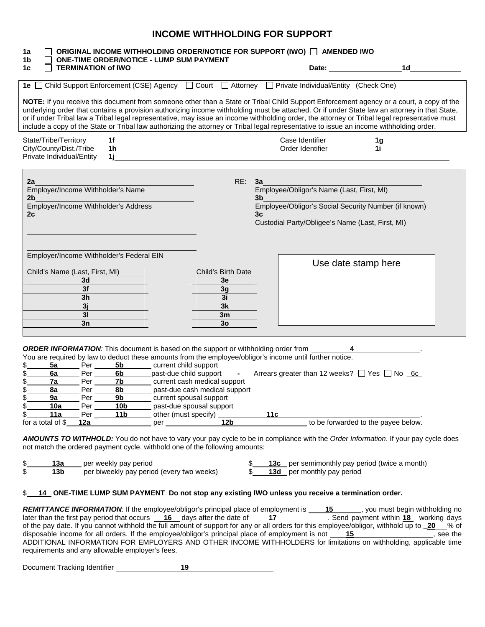# **INCOME WITHHOLDING FOR SUPPORT**

| 1a<br>1b                       |                           | <b>ONE-TIME ORDER/NOTICE - LUMP SUM PAYMENT</b>                             |     |                                                     |                          |     | ORIGINAL INCOME WITHHOLDING ORDER/NOTICE FOR SUPPORT (IWO) □ AMENDED IWO                                                                                                                                                             |                                                                                                                                                                                                                                                                                                                                                                                                                                                                                                                                                                                     |  |
|--------------------------------|---------------------------|-----------------------------------------------------------------------------|-----|-----------------------------------------------------|--------------------------|-----|--------------------------------------------------------------------------------------------------------------------------------------------------------------------------------------------------------------------------------------|-------------------------------------------------------------------------------------------------------------------------------------------------------------------------------------------------------------------------------------------------------------------------------------------------------------------------------------------------------------------------------------------------------------------------------------------------------------------------------------------------------------------------------------------------------------------------------------|--|
| 1c<br>ΙI                       | <b>TERMINATION of IWO</b> |                                                                             |     |                                                     |                          |     |                                                                                                                                                                                                                                      | Date: <u>www.community.com</u><br>1d and the state of the state of the state of the state of the state of the state of the state of the state of                                                                                                                                                                                                                                                                                                                                                                                                                                    |  |
|                                |                           |                                                                             |     |                                                     |                          |     | 1e Ohild Support Enforcement (CSE) Agency Ocurt OAttorney OPrivate Individual/Entity (Check One)                                                                                                                                     |                                                                                                                                                                                                                                                                                                                                                                                                                                                                                                                                                                                     |  |
|                                |                           |                                                                             |     |                                                     |                          |     |                                                                                                                                                                                                                                      | NOTE: If you receive this document from someone other than a State or Tribal Child Support Enforcement agency or a court, a copy of the<br>underlying order that contains a provision authorizing income withholding must be attached. Or if under State law an attorney in that State,<br>or if under Tribal law a Tribal legal representative, may issue an income withholding order, the attorney or Tribal legal representative must<br>include a copy of the State or Tribal law authorizing the attorney or Tribal legal representative to issue an income withholding order. |  |
| State/Tribe/Territory          |                           | 1f                                                                          |     |                                                     |                          |     |                                                                                                                                                                                                                                      |                                                                                                                                                                                                                                                                                                                                                                                                                                                                                                                                                                                     |  |
| City/County/Dist./Tribe        |                           |                                                                             |     |                                                     |                          |     |                                                                                                                                                                                                                                      | 11                                                                                                                                                                                                                                                                                                                                                                                                                                                                                                                                                                                  |  |
| Private Individual/Entity      |                           | 1j.                                                                         |     |                                                     |                          |     | <u>and the state of the state of the state of the state of the state of the state of the state of the state of the state of the state of the state of the state of the state of the state of the state of the state of the state</u> |                                                                                                                                                                                                                                                                                                                                                                                                                                                                                                                                                                                     |  |
|                                |                           |                                                                             |     |                                                     |                          |     |                                                                                                                                                                                                                                      |                                                                                                                                                                                                                                                                                                                                                                                                                                                                                                                                                                                     |  |
| 2a                             |                           |                                                                             |     |                                                     | RE:                      | 3a  |                                                                                                                                                                                                                                      |                                                                                                                                                                                                                                                                                                                                                                                                                                                                                                                                                                                     |  |
|                                |                           | Employer/Income Withholder's Name                                           |     |                                                     |                          |     | Employee/Obligor's Name (Last, First, MI)                                                                                                                                                                                            |                                                                                                                                                                                                                                                                                                                                                                                                                                                                                                                                                                                     |  |
| 2 <sub>b</sub>                 |                           | Employer/Income Withholder's Address                                        |     |                                                     |                          |     | $3b$ and $3b$                                                                                                                                                                                                                        | Employee/Obligor's Social Security Number (if known)                                                                                                                                                                                                                                                                                                                                                                                                                                                                                                                                |  |
| 2c                             |                           |                                                                             |     |                                                     |                          | 3c  |                                                                                                                                                                                                                                      |                                                                                                                                                                                                                                                                                                                                                                                                                                                                                                                                                                                     |  |
|                                |                           |                                                                             |     |                                                     |                          |     | Custodial Party/Obligee's Name (Last, First, MI)                                                                                                                                                                                     |                                                                                                                                                                                                                                                                                                                                                                                                                                                                                                                                                                                     |  |
|                                |                           |                                                                             |     |                                                     |                          |     |                                                                                                                                                                                                                                      |                                                                                                                                                                                                                                                                                                                                                                                                                                                                                                                                                                                     |  |
|                                |                           | Employer/Income Withholder's Federal EIN                                    |     |                                                     |                          |     |                                                                                                                                                                                                                                      | Use date stamp here                                                                                                                                                                                                                                                                                                                                                                                                                                                                                                                                                                 |  |
| Child's Name (Last, First, MI) | 3 <sub>d</sub>            |                                                                             |     |                                                     | Child's Birth Date<br>3e |     |                                                                                                                                                                                                                                      |                                                                                                                                                                                                                                                                                                                                                                                                                                                                                                                                                                                     |  |
|                                | 3f                        |                                                                             |     |                                                     | 3g                       |     |                                                                                                                                                                                                                                      |                                                                                                                                                                                                                                                                                                                                                                                                                                                                                                                                                                                     |  |
|                                | 3 <sub>h</sub>            |                                                                             |     |                                                     | 3i                       |     |                                                                                                                                                                                                                                      |                                                                                                                                                                                                                                                                                                                                                                                                                                                                                                                                                                                     |  |
|                                | 3j                        |                                                                             |     |                                                     | 3k                       |     |                                                                                                                                                                                                                                      |                                                                                                                                                                                                                                                                                                                                                                                                                                                                                                                                                                                     |  |
|                                | 3 <sub>l</sub>            |                                                                             |     |                                                     | 3m                       |     |                                                                                                                                                                                                                                      |                                                                                                                                                                                                                                                                                                                                                                                                                                                                                                                                                                                     |  |
|                                | 3n                        |                                                                             |     |                                                     | 3 <sub>o</sub>           |     |                                                                                                                                                                                                                                      |                                                                                                                                                                                                                                                                                                                                                                                                                                                                                                                                                                                     |  |
|                                |                           |                                                                             |     |                                                     |                          |     |                                                                                                                                                                                                                                      |                                                                                                                                                                                                                                                                                                                                                                                                                                                                                                                                                                                     |  |
|                                |                           |                                                                             |     |                                                     |                          |     | <b>ORDER INFORMATION:</b> This document is based on the support or withholding order from                                                                                                                                            |                                                                                                                                                                                                                                                                                                                                                                                                                                                                                                                                                                                     |  |
|                                |                           |                                                                             |     |                                                     |                          |     | You are required by law to deduct these amounts from the employee/obligor's income until further notice.                                                                                                                             |                                                                                                                                                                                                                                                                                                                                                                                                                                                                                                                                                                                     |  |
| 5a                             | Per                       |                                                                             |     | <b>5b</b> current child support                     |                          |     |                                                                                                                                                                                                                                      |                                                                                                                                                                                                                                                                                                                                                                                                                                                                                                                                                                                     |  |
| 6a                             | Per                       | 6b                                                                          |     | past-due child support                              | $\sim 100$               |     | Arrears greater than 12 weeks? $\Box$ Yes $\Box$ No 6c                                                                                                                                                                               |                                                                                                                                                                                                                                                                                                                                                                                                                                                                                                                                                                                     |  |
| 7a                             | Per                       | 7b                                                                          |     | current cash medical support                        |                          |     |                                                                                                                                                                                                                                      |                                                                                                                                                                                                                                                                                                                                                                                                                                                                                                                                                                                     |  |
| 8a                             | Per                       | 8b                                                                          |     | past-due cash medical support                       |                          |     |                                                                                                                                                                                                                                      |                                                                                                                                                                                                                                                                                                                                                                                                                                                                                                                                                                                     |  |
| 9a<br>10a                      | Per<br>Per                | 9 <sub>b</sub><br>10b                                                       |     | current spousal support<br>past-due spousal support |                          |     |                                                                                                                                                                                                                                      |                                                                                                                                                                                                                                                                                                                                                                                                                                                                                                                                                                                     |  |
| 11a                            | Per                       | 11b                                                                         |     | other (must specify)                                |                          | 11c |                                                                                                                                                                                                                                      |                                                                                                                                                                                                                                                                                                                                                                                                                                                                                                                                                                                     |  |
| for a total of \$              | 12a                       |                                                                             | per |                                                     | 12b                      |     |                                                                                                                                                                                                                                      | to be forwarded to the payee below.                                                                                                                                                                                                                                                                                                                                                                                                                                                                                                                                                 |  |
|                                |                           |                                                                             |     |                                                     |                          |     |                                                                                                                                                                                                                                      |                                                                                                                                                                                                                                                                                                                                                                                                                                                                                                                                                                                     |  |
|                                |                           |                                                                             |     |                                                     |                          |     |                                                                                                                                                                                                                                      | AMOUNTS TO WITHHOLD: You do not have to vary your pay cycle to be in compliance with the Order Information. If your pay cycle does                                                                                                                                                                                                                                                                                                                                                                                                                                                  |  |
|                                |                           | not match the ordered payment cycle, withhold one of the following amounts: |     |                                                     |                          |     |                                                                                                                                                                                                                                      |                                                                                                                                                                                                                                                                                                                                                                                                                                                                                                                                                                                     |  |
|                                |                           |                                                                             |     |                                                     |                          |     |                                                                                                                                                                                                                                      |                                                                                                                                                                                                                                                                                                                                                                                                                                                                                                                                                                                     |  |

| 13a | per weekly pay period                     |  | 13c per semimonthly pay period (twice a month) |
|-----|-------------------------------------------|--|------------------------------------------------|
| 13b | per biweekly pay period (every two weeks) |  | 13d per monthly pay period                     |

#### \$ **14 ONE-TIME LUMP SUM PAYMENT Do not stop any existing IWO unless you receive a termination order.**

*REMITTANCE INFORMATION:* If the employee/obligor's principal place of employment is 15 , you must begin withholding no later than the first pay period that occurs 16 days after the date of 17 . Send payment within 18 working days of the pay date. If you cannot withhold the full amount of support for any or all orders for this employee/obligor, withhold up to **\_20**\_\_\_% of disposable income for all orders. If the employee/obligor's principal place of disposable income for all orders. If the employee/obligor's principal place of employment is not \_\_\_\_\_\_\_\_\_\_\_\_\_ ADDITIONAL INFORMATION FOR EMPLOYERS AND OTHER INCOME WITHHOLDERS for limitations on withholding, applicable time requirements and any allowable employer's fees.

Document Tracking Identifier **19**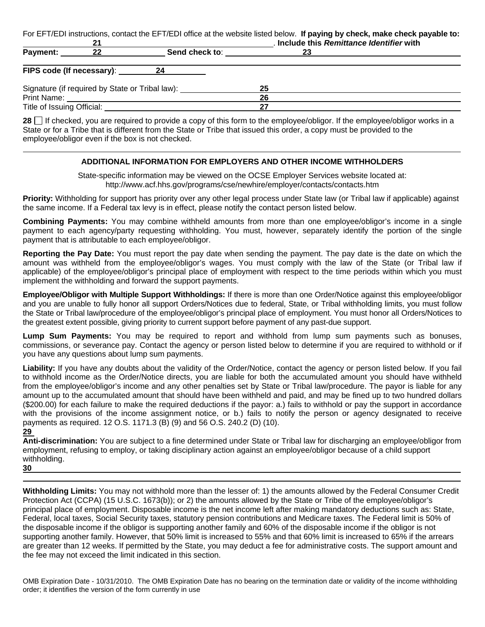For EFT/EDI instructions, contact the EFT/EDI office at the website listed below. **If paying by check, make check payable to:** 

| 21                         |  |                                                 | . Include this Remittance Identifier with |  |  |  |  |
|----------------------------|--|-------------------------------------------------|-------------------------------------------|--|--|--|--|
| <b>Payment:</b><br>-22     |  | Send check to:                                  | 23                                        |  |  |  |  |
|                            |  | FIPS code (If necessary): 24                    |                                           |  |  |  |  |
|                            |  | Signature (if required by State or Tribal law): | 25                                        |  |  |  |  |
| Print Name:                |  |                                                 | 26                                        |  |  |  |  |
| Title of Issuing Official: |  |                                                 |                                           |  |  |  |  |

**28** If checked, you are required to provide a copy of this form to the employee/obligor. If the employee/obligor works in a State or for a Tribe that is different from the State or Tribe that issued this order, a copy must be provided to the employee/obligor even if the box is not checked.

### **ADDITIONAL INFORMATION FOR EMPLOYERS AND OTHER INCOME WITHHOLDERS**

State-specific information may be viewed on the OCSE Employer Services website located at: http://www.acf.hhs.gov/programs/cse/newhire/employer/contacts/contacts.htm

**Priority:** Withholding for support has priority over any other legal process under State law (or Tribal law if applicable) against the same income. If a Federal tax levy is in effect, please notify the contact person listed below.

**Combining Payments:** You may combine withheld amounts from more than one employee/obligor's income in a single payment to each agency/party requesting withholding. You must, however, separately identify the portion of the single payment that is attributable to each employee/obligor.

**Reporting the Pay Date:** You must report the pay date when sending the payment. The pay date is the date on which the amount was withheld from the employee/obligor's wages. You must comply with the law of the State (or Tribal law if applicable) of the employee/obligor's principal place of employment with respect to the time periods within which you must implement the withholding and forward the support payments.

**Employee/Obligor with Multiple Support Withholdings:** If there is more than one Order/Notice against this employee/obligor and you are unable to fully honor all support Orders/Notices due to federal, State, or Tribal withholding limits, you must follow the State or Tribal law/procedure of the employee/obligor's principal place of employment. You must honor all Orders/Notices to the greatest extent possible, giving priority to current support before payment of any past-due support.

**Lump Sum Payments:** You may be required to report and withhold from lump sum payments such as bonuses, commissions, or severance pay. Contact the agency or person listed below to determine if you are required to withhold or if you have any questions about lump sum payments.

**Liability:** If you have any doubts about the validity of the Order/Notice, contact the agency or person listed below. If you fail to withhold income as the Order/Notice directs, you are liable for both the accumulated amount you should have withheld from the employee/obligor's income and any other penalties set by State or Tribal law/procedure. The payor is liable for any amount up to the accumulated amount that should have been withheld and paid, and may be fined up to two hundred dollars (\$200.00) for each failure to make the required deductions if the payor: a.) fails to withhold or pay the support in accordance with the provisions of the income assignment notice, or b.) fails to notify the person or agency designated to receive payments as required. 12 O.S. 1171.3 (B) (9) and 56 O.S. 240.2 (D) (10).

**29** 

**Anti-discrimination:** You are subject to a fine determined under State or Tribal law for discharging an employee/obligor from employment, refusing to employ, or taking disciplinary action against an employee/obligor because of a child support withholding.

**30** 

**Withholding Limits:** You may not withhold more than the lesser of: 1) the amounts allowed by the Federal Consumer Credit Protection Act (CCPA) (15 U.S.C. 1673(b)); or 2) the amounts allowed by the State or Tribe of the employee/obligor's principal place of employment. Disposable income is the net income left after making mandatory deductions such as: State, Federal, local taxes, Social Security taxes, statutory pension contributions and Medicare taxes. The Federal limit is 50% of the disposable income if the obligor is supporting another family and 60% of the disposable income if the obligor is not supporting another family. However, that 50% limit is increased to 55% and that 60% limit is increased to 65% if the arrears are greater than 12 weeks. If permitted by the State, you may deduct a fee for administrative costs. The support amount and the fee may not exceed the limit indicated in this section.

OMB Expiration Date - 10/31/2010. The OMB Expiration Date has no bearing on the termination date or validity of the income withholding order; it identifies the version of the form currently in use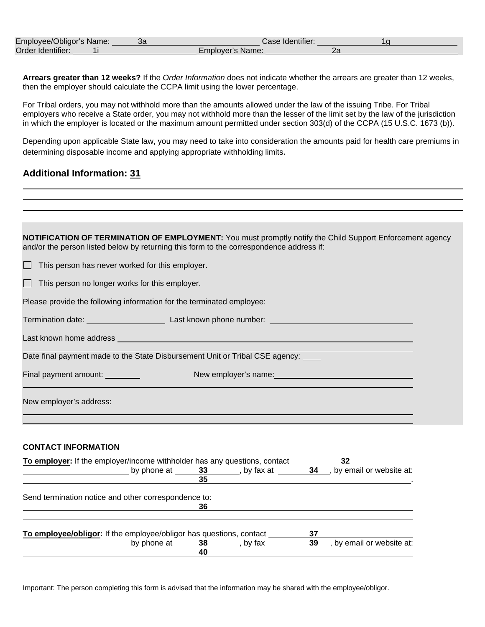| Employee/Obligor's Name: | Jd | Case Identifier: |  |
|--------------------------|----|------------------|--|
| Order Identifier:        |    | Emplover's Name: |  |

**Arrears greater than 12 weeks?** If the *Order Information* does not indicate whether the arrears are greater than 12 weeks, then the employer should calculate the CCPA limit using the lower percentage.

For Tribal orders, you may not withhold more than the amounts allowed under the law of the issuing Tribe. For Tribal employers who receive a State order, you may not withhold more than the lesser of the limit set by the law of the jurisdiction in which the employer is located or the maximum amount permitted under section 303(d) of the CCPA (15 U.S.C. 1673 (b)).

Depending upon applicable State law, you may need to take into consideration the amounts paid for health care premiums in determining disposable income and applying appropriate withholding limits.

### **Additional Information: 31**

**NOTIFICATION OF TERMINATION OF EMPLOYMENT:** You must promptly notify the Child Support Enforcement agency and/or the person listed below by returning this form to the correspondence address if:

 $\Box$  This person has never worked for this employer.

 $\Box$  This person no longer works for this employer.

Please provide the following information for the terminated employee:

Termination date: Last known phone number: Last known phone number: Last Management of the United States of the U

Last known home address and the control of the control of the control of the control of the control of the control of the control of the control of the control of the control of the control of the control of the control of

Date final payment made to the State Disbursement Unit or Tribal CSE agency: \_\_\_\_

Final payment amount: New employer's name:

New employer's address:

#### **CONTACT INFORMATION**

| To employer: If the employer/income withholder has any questions, contact | 32 |           |    |                         |
|---------------------------------------------------------------------------|----|-----------|----|-------------------------|
| by phone at 33                                                            |    | by fax at | 34 | by email or website at: |
|                                                                           | 35 |           |    |                         |
| Send termination notice and other correspondence to:                      |    |           |    |                         |
|                                                                           | 36 |           |    |                         |
| To employee/obligor: If the employee/obligor has questions, contact       |    |           | 37 |                         |
| by phone at 38                                                            |    | by fax    | 39 | by email or website at: |
|                                                                           | 40 |           |    |                         |

Important: The person completing this form is advised that the information may be shared with the employee/obligor.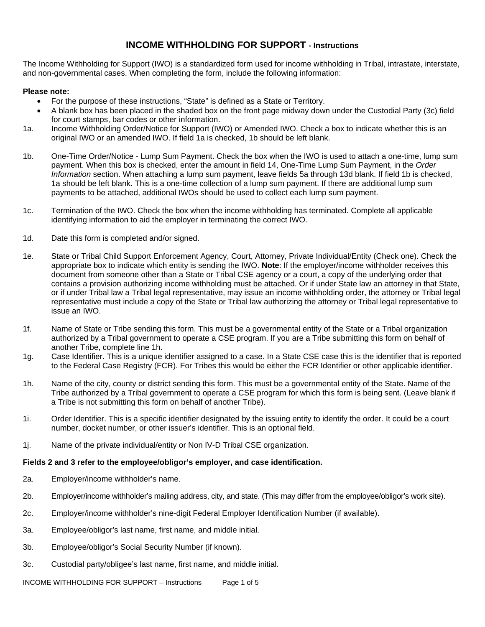## **INCOME WITHHOLDING FOR SUPPORT - Instructions**

The Income Withholding for Support (IWO) is a standardized form used for income withholding in Tribal, intrastate, interstate, and non-governmental cases. When completing the form, include the following information:

### **Please note:**

- For the purpose of these instructions, "State" is defined as a State or Territory.
- A blank box has been placed in the shaded box on the front page midway down under the Custodial Party (3c) field for court stamps, bar codes or other information.
- 1a. Income Withholding Order/Notice for Support (IWO) or Amended IWO. Check a box to indicate whether this is an original IWO or an amended IWO. If field 1a is checked, 1b should be left blank.
- 1b. One-Time Order/Notice Lump Sum Payment. Check the box when the IWO is used to attach a one-time, lump sum payment. When this box is checked, enter the amount in field 14, One-Time Lump Sum Payment, in the *Order Information* section. When attaching a lump sum payment, leave fields 5a through 13d blank. If field 1b is checked, 1a should be left blank. This is a one-time collection of a lump sum payment. If there are additional lump sum payments to be attached, additional IWOs should be used to collect each lump sum payment.
- 1c. Termination of the IWO. Check the box when the income withholding has terminated. Complete all applicable identifying information to aid the employer in terminating the correct IWO.
- 1d. Date this form is completed and/or signed.
- 1e. State or Tribal Child Support Enforcement Agency, Court, Attorney, Private Individual/Entity (Check one). Check the appropriate box to indicate which entity is sending the IWO. **Note**: If the employer/income withholder receives this document from someone other than a State or Tribal CSE agency or a court, a copy of the underlying order that contains a provision authorizing income withholding must be attached. Or if under State law an attorney in that State, or if under Tribal law a Tribal legal representative, may issue an income withholding order, the attorney or Tribal legal representative must include a copy of the State or Tribal law authorizing the attorney or Tribal legal representative to issue an IWO.
- 1f. Name of State or Tribe sending this form. This must be a governmental entity of the State or a Tribal organization authorized by a Tribal government to operate a CSE program. If you are a Tribe submitting this form on behalf of another Tribe, complete line 1h.
- 1g. Case Identifier. This is a unique identifier assigned to a case. In a State CSE case this is the identifier that is reported to the Federal Case Registry (FCR). For Tribes this would be either the FCR Identifier or other applicable identifier.
- 1h. Name of the city, county or district sending this form. This must be a governmental entity of the State. Name of the Tribe authorized by a Tribal government to operate a CSE program for which this form is being sent. (Leave blank if a Tribe is not submitting this form on behalf of another Tribe).
- 1i. Order Identifier. This is a specific identifier designated by the issuing entity to identify the order. It could be a court number, docket number, or other issuer's identifier. This is an optional field.
- 1j. Name of the private individual/entity or Non IV-D Tribal CSE organization.

## **Fields 2 and 3 refer to the employee/obligor's employer, and case identification.**

- 2a. Employer/income withholder's name.
- 2b. Employer/income withholder's mailing address, city, and state. (This may differ from the employee/obligor's work site).
- 2c. Employer/income withholder's nine-digit Federal Employer Identification Number (if available).
- 3a. Employee/obligor's last name, first name, and middle initial.
- 3b. Employee/obligor's Social Security Number (if known).
- 3c. Custodial party/obligee's last name, first name, and middle initial.

INCOME WITHHOLDING FOR SUPPORT – Instructions Page 1 of 5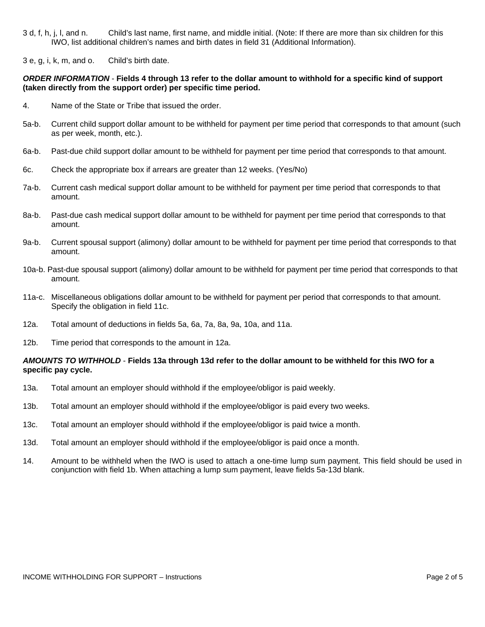- 3 d, f, h, j, l, and n. Child's last name, first name, and middle initial. (Note: If there are more than six children for this IWO, list additional children's names and birth dates in field 31 (Additional Information).
- 3 e, g, i, k, m, and o. Child's birth date.

#### *ORDER INFORMATION* - **Fields 4 through 13 refer to the dollar amount to withhold for a specific kind of support (taken directly from the support order) per specific time period.**

- 4. Name of the State or Tribe that issued the order.
- 5a-b. Current child support dollar amount to be withheld for payment per time period that corresponds to that amount (such as per week, month, etc.).
- 6a-b. Past-due child support dollar amount to be withheld for payment per time period that corresponds to that amount.
- 6c. Check the appropriate box if arrears are greater than 12 weeks. (Yes/No)
- 7a-b. Current cash medical support dollar amount to be withheld for payment per time period that corresponds to that amount.
- 8a-b. Past-due cash medical support dollar amount to be withheld for payment per time period that corresponds to that amount.
- 9a-b. Current spousal support (alimony) dollar amount to be withheld for payment per time period that corresponds to that amount.
- 10a-b. Past-due spousal support (alimony) dollar amount to be withheld for payment per time period that corresponds to that amount.
- 11a-c. Miscellaneous obligations dollar amount to be withheld for payment per period that corresponds to that amount. Specify the obligation in field 11c.
- 12a. Total amount of deductions in fields 5a, 6a, 7a, 8a, 9a, 10a, and 11a.
- 12b. Time period that corresponds to the amount in 12a.

### *AMOUNTS TO WITHHOLD* - **Fields 13a through 13d refer to the dollar amount to be withheld for this IWO for a specific pay cycle.**

- 13a. Total amount an employer should withhold if the employee/obligor is paid weekly.
- 13b. Total amount an employer should withhold if the employee/obligor is paid every two weeks.
- 13c. Total amount an employer should withhold if the employee/obligor is paid twice a month.
- 13d. Total amount an employer should withhold if the employee/obligor is paid once a month.
- 14. Amount to be withheld when the IWO is used to attach a one-time lump sum payment. This field should be used in conjunction with field 1b. When attaching a lump sum payment, leave fields 5a-13d blank.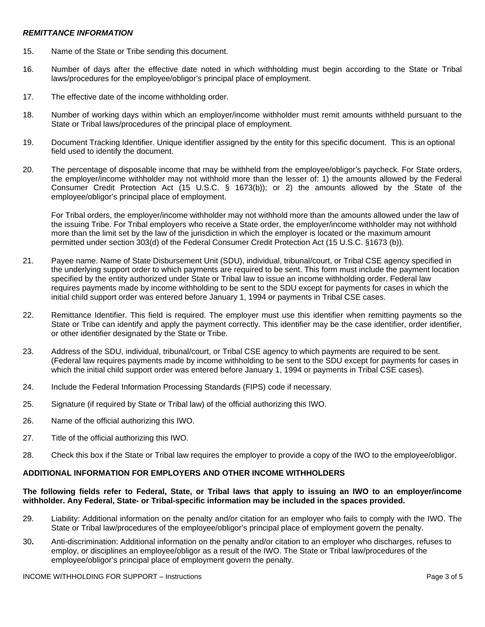#### *REMITTANCE INFORMATION*

- 15. Name of the State or Tribe sending this document.
- 16. Number of days after the effective date noted in which withholding must begin according to the State or Tribal laws/procedures for the employee/obligor's principal place of employment.
- 17. The effective date of the income withholding order.
- 18. Number of working days within which an employer/income withholder must remit amounts withheld pursuant to the State or Tribal laws/procedures of the principal place of employment.
- 19. Document Tracking Identifier. Unique identifier assigned by the entity for this specific document. This is an optional field used to identify the document.
- 20. The percentage of disposable income that may be withheld from the employee/obligor's paycheck. For State orders, the employer/income withholder may not withhold more than the lesser of: 1) the amounts allowed by the Federal Consumer Credit Protection Act (15 U.S.C. § 1673(b)); or 2) the amounts allowed by the State of the employee/obligor's principal place of employment.

For Tribal orders, the employer/income withholder may not withhold more than the amounts allowed under the law of the issuing Tribe. For Tribal employers who receive a State order, the employer/income withholder may not withhold more than the limit set by the law of the jurisdiction in which the employer is located or the maximum amount permitted under section 303(d) of the Federal Consumer Credit Protection Act (15 U.S.C. §1673 (b)).

- 21. Payee name. Name of State Disbursement Unit (SDU), individual, tribunal/court, or Tribal CSE agency specified in the underlying support order to which payments are required to be sent. This form must include the payment location specified by the entity authorized under State or Tribal law to issue an income withholding order. Federal law requires payments made by income withholding to be sent to the SDU except for payments for cases in which the initial child support order was entered before January 1, 1994 or payments in Tribal CSE cases.
- 22. Remittance Identifier. This field is required. The employer must use this identifier when remitting payments so the State or Tribe can identify and apply the payment correctly. This identifier may be the case identifier, order identifier, or other identifier designated by the State or Tribe.
- 23. Address of the SDU, individual, tribunal/court, or Tribal CSE agency to which payments are required to be sent. (Federal law requires payments made by income withholding to be sent to the SDU except for payments for cases in which the initial child support order was entered before January 1, 1994 or payments in Tribal CSE cases).
- 24. Include the Federal Information Processing Standards (FIPS) code if necessary.
- 25. Signature (if required by State or Tribal law) of the official authorizing this IWO.
- 26. Name of the official authorizing this IWO.
- 27. Title of the official authorizing this IWO.
- 28. Check this box if the State or Tribal law requires the employer to provide a copy of the IWO to the employee/obligor.

## **ADDITIONAL INFORMATION FOR EMPLOYERS AND OTHER INCOME WITHHOLDERS**

### **The following fields refer to Federal, State, or Tribal laws that apply to issuing an IWO to an employer/income withholder. Any Federal, State- or Tribal-specific information may be included in the spaces provided.**

- 29. Liability: Additional information on the penalty and/or citation for an employer who fails to comply with the IWO. The State or Tribal law/procedures of the employee/obligor's principal place of employment govern the penalty.
- 30**.** Anti-discrimination: Additional information on the penalty and/or citation to an employer who discharges, refuses to employ, or disciplines an employee/obligor as a result of the IWO. The State or Tribal law/procedures of the employee/obligor's principal place of employment govern the penalty.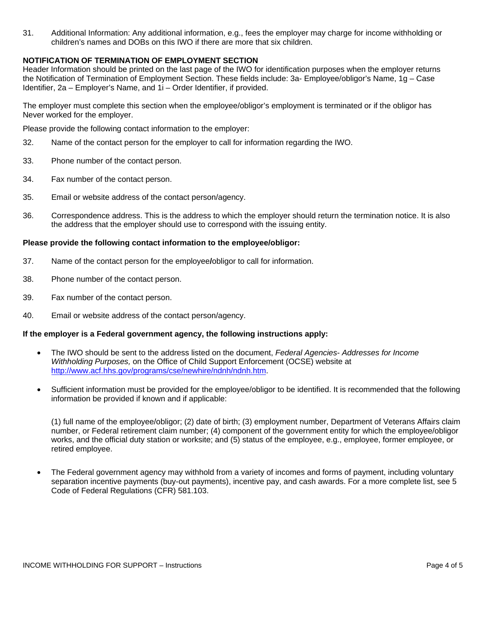31. Additional Information: Any additional information, e.g., fees the employer may charge for income withholding or children's names and DOBs on this IWO if there are more that six children.

### **NOTIFICATION OF TERMINATION OF EMPLOYMENT SECTION**

Header Information should be printed on the last page of the IWO for identification purposes when the employer returns the Notification of Termination of Employment Section. These fields include: 3a- Employee/obligor's Name, 1g – Case Identifier, 2a – Employer's Name, and 1i – Order Identifier, if provided.

The employer must complete this section when the employee/obligor's employment is terminated or if the obligor has Never worked for the employer.

Please provide the following contact information to the employer:

- 32. Name of the contact person for the employer to call for information regarding the IWO.
- 33. Phone number of the contact person.
- 34. Fax number of the contact person.
- 35. Email or website address of the contact person/agency.
- 36. Correspondence address. This is the address to which the employer should return the termination notice. It is also the address that the employer should use to correspond with the issuing entity.

#### **Please provide the following contact information to the employee/obligor:**

- 37. Name of the contact person for the employee**/**obligor to call for information.
- 38. Phone number of the contact person.
- 39. Fax number of the contact person.
- 40. Email or website address of the contact person/agency.

#### **If the employer is a Federal government agency, the following instructions apply:**

- The IWO should be sent to the address listed on the document, *Federal Agencies- Addresses for Income Withholding Purposes,* on the Office of Child Support Enforcement (OCSE) website at <http://www.acf.hhs.gov/programs/cse/newhire/ndnh/ndnh.htm>.
- Sufficient information must be provided for the employee/obligor to be identified. It is recommended that the following information be provided if known and if applicable:

(1) full name of the employee/obligor; (2) date of birth; (3) employment number, Department of Veterans Affairs claim number, or Federal retirement claim number; (4) component of the government entity for which the employee/obligor works, and the official duty station or worksite; and (5) status of the employee, e.g., employee, former employee, or retired employee.

• The Federal government agency may withhold from a variety of incomes and forms of payment, including voluntary separation incentive payments (buy-out payments), incentive pay, and cash awards. For a more complete list, see 5 Code of Federal Regulations (CFR) 581.103.